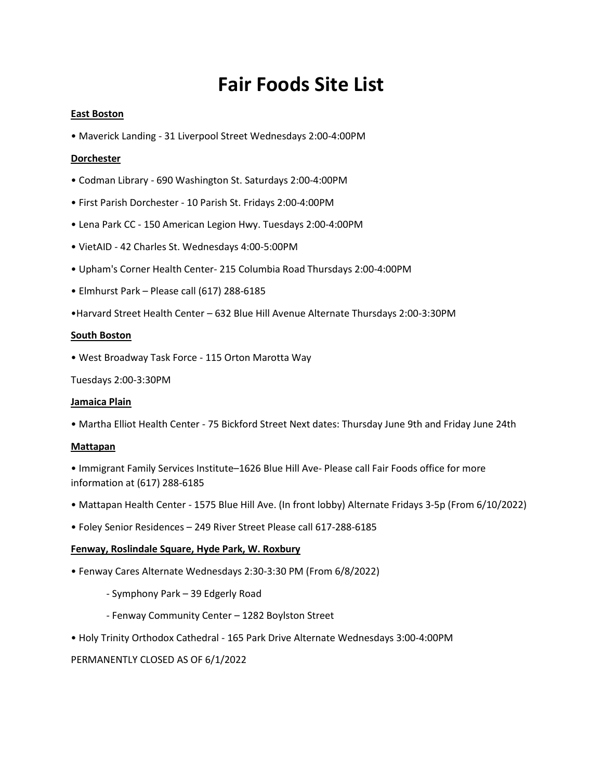# **Fair Foods Site List**

## **East Boston**

• Maverick Landing - 31 Liverpool Street Wednesdays 2:00-4:00PM

## **Dorchester**

- Codman Library 690 Washington St. Saturdays 2:00-4:00PM
- First Parish Dorchester 10 Parish St. Fridays 2:00-4:00PM
- Lena Park CC 150 American Legion Hwy. Tuesdays 2:00-4:00PM
- VietAID 42 Charles St. Wednesdays 4:00-5:00PM
- Upham's Corner Health Center- 215 Columbia Road Thursdays 2:00-4:00PM
- Elmhurst Park Please call (617) 288-6185
- •Harvard Street Health Center 632 Blue Hill Avenue Alternate Thursdays 2:00-3:30PM

#### **South Boston**

• West Broadway Task Force - 115 Orton Marotta Way

Tuesdays 2:00-3:30PM

#### **Jamaica Plain**

• Martha Elliot Health Center - 75 Bickford Street Next dates: Thursday June 9th and Friday June 24th

#### **Mattapan**

• Immigrant Family Services Institute–1626 Blue Hill Ave- Please call Fair Foods office for more information at (617) 288-6185

- Mattapan Health Center 1575 Blue Hill Ave. (In front lobby) Alternate Fridays 3-5p (From 6/10/2022)
- Foley Senior Residences 249 River Street Please call 617-288-6185

#### **Fenway, Roslindale Square, Hyde Park, W. Roxbury**

- Fenway Cares Alternate Wednesdays 2:30-3:30 PM (From 6/8/2022)
	- Symphony Park 39 Edgerly Road
	- Fenway Community Center 1282 Boylston Street
- Holy Trinity Orthodox Cathedral 165 Park Drive Alternate Wednesdays 3:00-4:00PM

#### PERMANENTLY CLOSED AS OF 6/1/2022